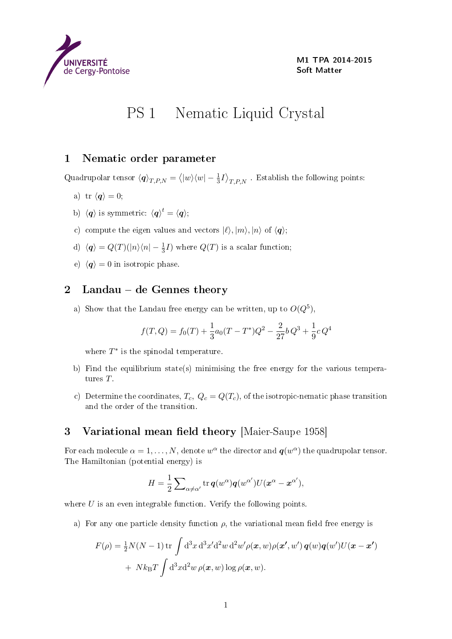

M1 TPA 2014-2015 Soft Matter

## PS 1 Nematic Liquid Crystal

## 1 Nematic order parameter

Quadrupolar tensor  $\langle q \rangle_{T,P,N} = \langle |w\rangle \langle w| - \frac{1}{3}I \rangle_{T,P,N}$  . Establish the following points:

- a) tr  $\langle q \rangle = 0;$
- b)  $\langle \boldsymbol{q} \rangle$  is symmetric:  $\langle \boldsymbol{q} \rangle^t = \langle \boldsymbol{q} \rangle;$
- c) compute the eigen values and vectors  $|\ell\rangle, |m\rangle, |n\rangle$  of  $\langle q\rangle$ ;
- d)  $\langle q \rangle = Q(T)(|n\rangle\langle n| \frac{1}{3}I)$  where  $Q(T)$  is a scalar function;
- e)  $\langle q \rangle = 0$  in isotropic phase.

## 2 Landau – de Gennes theory

a) Show that the Landau free energy can be written, up to  $O(Q^5)$ ,

$$
f(T, Q) = f_0(T) + \frac{1}{3}a_0(T - T^*)Q^2 - \frac{2}{27}bQ^3 + \frac{1}{9}cQ^4
$$

where  $T^*$  is the spinodal temperature.

- b) Find the equilibrium state(s) minimising the free energy for the various temperatures T.
- c) Determine the coordinates,  $T_c$ ,  $Q_c = Q(T_c)$ , of the isotropic-nematic phase transition and the order of the transition.

## 3 Variational mean field theory [Maier-Saupe 1958]

For each molecule  $\alpha = 1, \ldots, N$ , denote  $w^{\alpha}$  the director and  $\boldsymbol{q}(w^{\alpha})$  the quadrupolar tensor. The Hamiltonian (potential energy) is

$$
H = \frac{1}{2} \sum_{\alpha \neq \alpha'} \text{tr}\, \boldsymbol{q}(w^{\alpha}) \boldsymbol{q}(w^{\alpha'}) U(\boldsymbol{x}^{\alpha} - \boldsymbol{x}^{\alpha'}),
$$

where  $U$  is an even integrable function. Verify the following points.

a) For any one particle density function  $\rho$ , the variational mean field free energy is

$$
F(\rho) = \frac{1}{2}N(N-1)\operatorname{tr}\int \mathrm{d}^3x \, \mathrm{d}^3x' \mathrm{d}^2w \, \mathrm{d}^2w' \rho(\boldsymbol{x},w)\rho(\boldsymbol{x}',w')\,\boldsymbol{q}(w)\boldsymbol{q}(w')U(\boldsymbol{x}-\boldsymbol{x}') + Nk_{\text{B}}T\int \mathrm{d}^3x \mathrm{d}^2w \,\rho(\boldsymbol{x},w)\log\rho(\boldsymbol{x},w).
$$